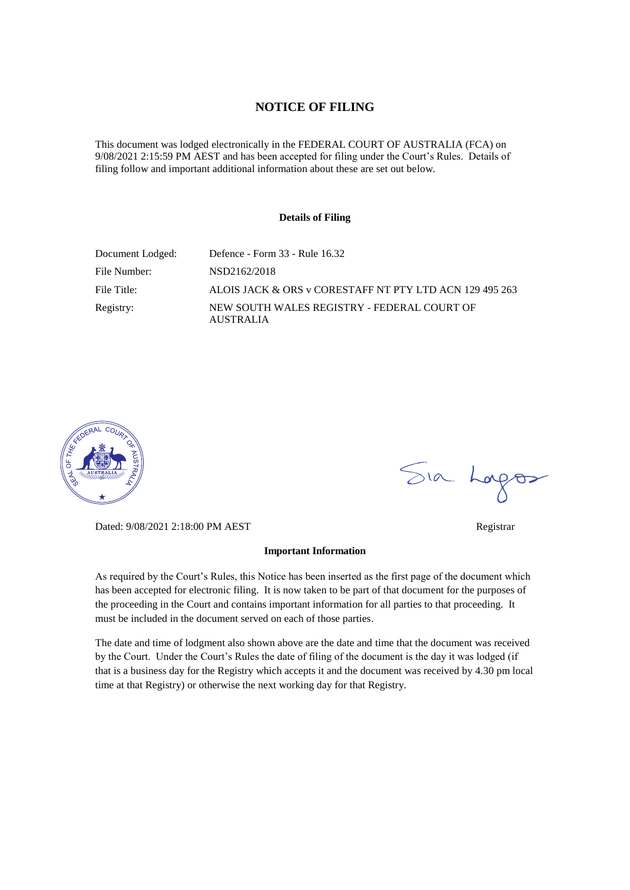### **NOTICE OF FILING**

This document was lodged electronically in the FEDERAL COURT OF AUSTRALIA (FCA) on 9/08/2021 2:15:59 PM AEST and has been accepted for filing under the Court's Rules. Details of filing follow and important additional information about these are set out below.

#### **Details of Filing**

| Document Lodged: | Defence - Form 33 - Rule 16.32                                  |
|------------------|-----------------------------------------------------------------|
| File Number:     | NSD2162/2018                                                    |
| File Title:      | ALOIS JACK & ORS v CORESTAFF NT PTY LTD ACN 129 495 263         |
| Registry:        | NEW SOUTH WALES REGISTRY - FEDERAL COURT OF<br><b>AUSTRALIA</b> |



Dated: 9/08/2021 2:18:00 PM AEST Registrar

#### **Important Information**

As required by the Court's Rules, this Notice has been inserted as the first page of the document which has been accepted for electronic filing. It is now taken to be part of that document for the purposes of the proceeding in the Court and contains important information for all parties to that proceeding. It must be included in the document served on each of those parties.

The date and time of lodgment also shown above are the date and time that the document was received by the Court. Under the Court's Rules the date of filing of the document is the day it was lodged (if that is a business day for the Registry which accepts it and the document was received by 4.30 pm local time at that Registry) or otherwise the next working day for that Registry.

Sia Logos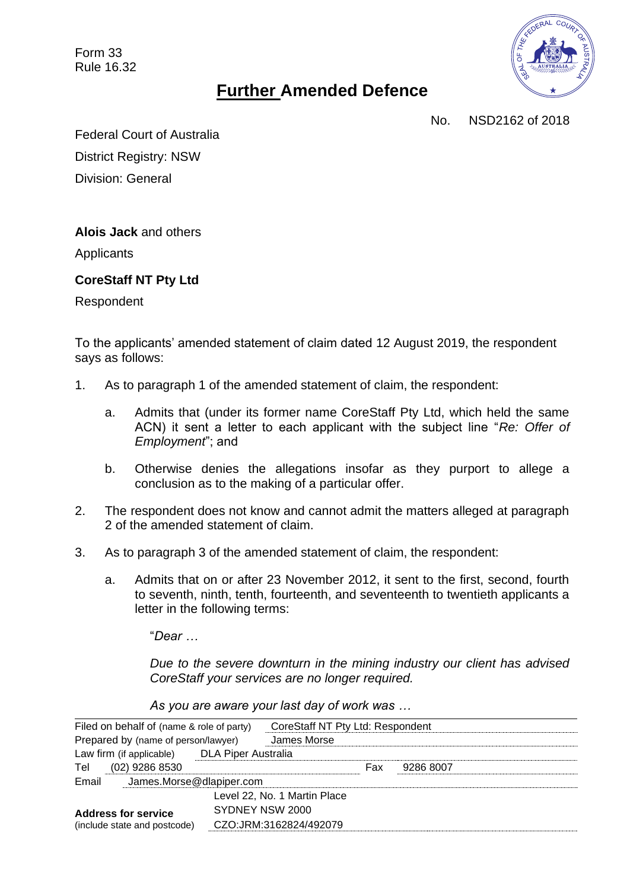Form 33 Rule 16.32



# **Further Amended Defence**

No. NSD2162 of 2018

Federal Court of Australia District Registry: NSW Division: General

**Alois Jack** and others

**Applicants** 

## **CoreStaff NT Pty Ltd**

Respondent

To the applicants' amended statement of claim dated 12 August 2019, the respondent says as follows:

- 1. As to paragraph 1 of the amended statement of claim, the respondent:
	- a. Admits that (under its former name CoreStaff Pty Ltd, which held the same ACN) it sent a letter to each applicant with the subject line "*Re: Offer of Employment*"; and
	- b. Otherwise denies the allegations insofar as they purport to allege a conclusion as to the making of a particular offer.
- 2. The respondent does not know and cannot admit the matters alleged at paragraph 2 of the amended statement of claim.
- <span id="page-1-0"></span>3. As to paragraph 3 of the amended statement of claim, the respondent:
	- a. Admits that on or after 23 November 2012, it sent to the first, second, fourth to seventh, ninth, tenth, fourteenth, and seventeenth to twentieth applicants a letter in the following terms:

"*Dear …*

*Due to the severe downturn in the mining industry our client has advised CoreStaff your services are no longer required.*

| Filed on behalf of (name & role of party)    |  | CoreStaff NT Pty Ltd: Respondent |     |           |  |
|----------------------------------------------|--|----------------------------------|-----|-----------|--|
| Prepared by (name of person/lawyer)          |  | James Morse                      |     |           |  |
| Law firm (if applicable) DLA Piper Australia |  |                                  |     |           |  |
| $(02)$ 9286 8530<br>Tel                      |  |                                  | Fax | 9286 8007 |  |
| James.Morse@dlapiper.com<br>Email            |  |                                  |     |           |  |
|                                              |  | Level 22, No. 1 Martin Place     |     |           |  |
| <b>Address for service</b>                   |  | SYDNEY NSW 2000                  |     |           |  |
| (include state and postcode)                 |  | CZO:JRM:3162824/492079           |     |           |  |

*As you are aware your last day of work was …*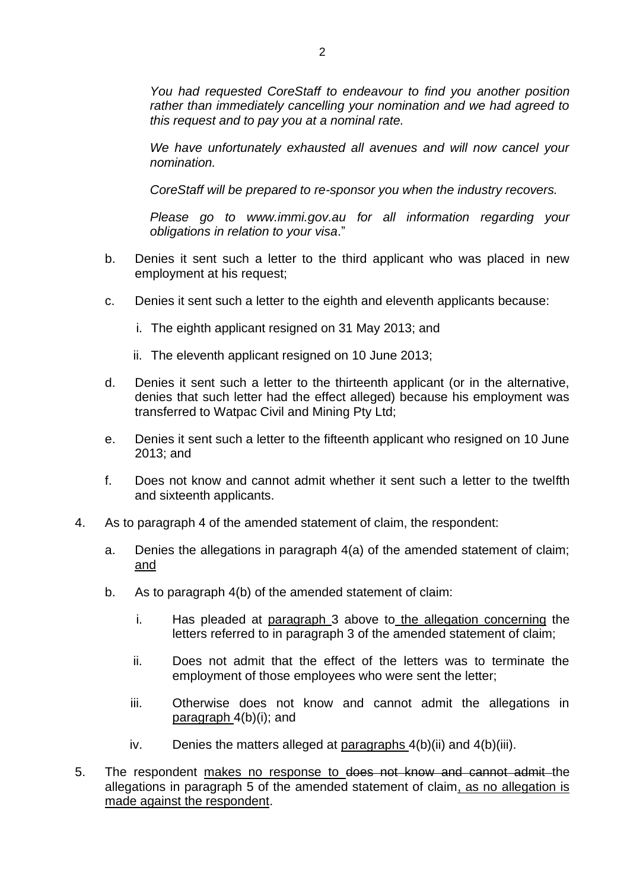*You had requested CoreStaff to endeavour to find you another position rather than immediately cancelling your nomination and we had agreed to this request and to pay you at a nominal rate.*

*We have unfortunately exhausted all avenues and will now cancel your nomination.*

*CoreStaff will be prepared to re-sponsor you when the industry recovers.*

*Please go to www.immi.gov.au for all information regarding your obligations in relation to your visa*."

- b. Denies it sent such a letter to the third applicant who was placed in new employment at his request;
- c. Denies it sent such a letter to the eighth and eleventh applicants because:
	- i. The eighth applicant resigned on 31 May 2013; and
	- ii. The eleventh applicant resigned on 10 June 2013;
- d. Denies it sent such a letter to the thirteenth applicant (or in the alternative, denies that such letter had the effect alleged) because his employment was transferred to Watpac Civil and Mining Pty Ltd;
- e. Denies it sent such a letter to the fifteenth applicant who resigned on 10 June 2013; and
- f. Does not know and cannot admit whether it sent such a letter to the twelfth and sixteenth applicants.
- 4. As to paragraph 4 of the amended statement of claim, the respondent:
	- a. Denies the allegations in paragraph 4(a) of the amended statement of claim; and
	- b. As to paragraph 4(b) of the amended statement of claim:
		- i. Has pleaded at paragraph [3](#page-1-0) above to the allegation concerning the letters referred to in paragraph 3 of the amended statement of claim;
		- ii. Does not admit that the effect of the letters was to terminate the employment of those employees who were sent the letter;
		- iii. Otherwise does not know and cannot admit the allegations in paragraph 4(b)(i); and
		- iv. Denies the matters alleged at paragraphs  $4(b)(ii)$  and  $4(b)(iii)$ .
- 5. The respondent makes no response to does not know and cannot admit the allegations in paragraph 5 of the amended statement of claim, as no allegation is made against the respondent.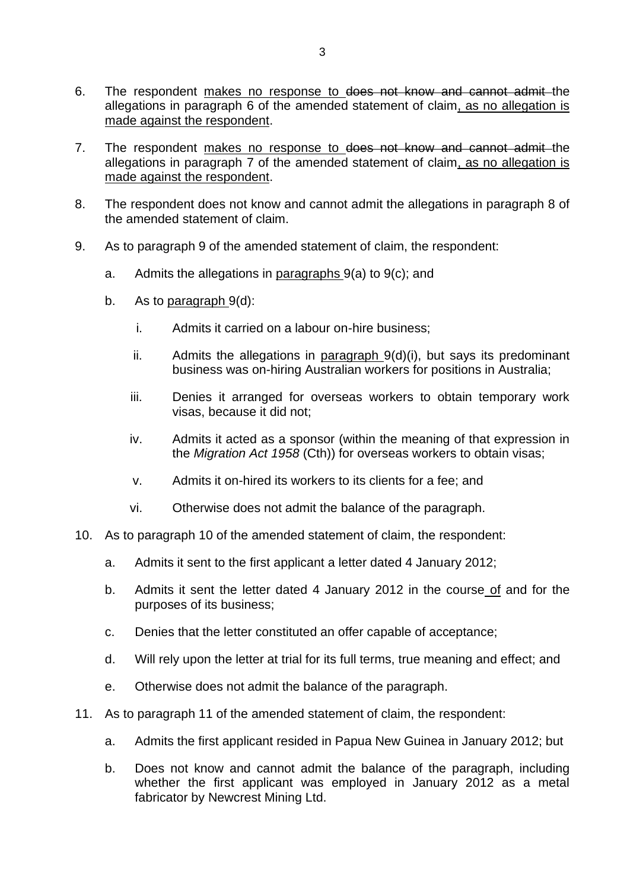- 6. The respondent makes no response to does not know and cannot admit the allegations in paragraph 6 of the amended statement of claim, as no allegation is made against the respondent.
- 7. The respondent makes no response to does not know and cannot admit the allegations in paragraph 7 of the amended statement of claim, as no allegation is made against the respondent.
- 8. The respondent does not know and cannot admit the allegations in paragraph 8 of the amended statement of claim.
- 9. As to paragraph 9 of the amended statement of claim, the respondent:
	- a. Admits the allegations in paragraphs 9(a) to 9(c); and
	- b. As to paragraph 9(d):
		- i. Admits it carried on a labour on-hire business;
		- ii. Admits the allegations in paragraph  $9(d)(i)$ , but says its predominant business was on-hiring Australian workers for positions in Australia;
		- iii. Denies it arranged for overseas workers to obtain temporary work visas, because it did not;
		- iv. Admits it acted as a sponsor (within the meaning of that expression in the *Migration Act 1958* (Cth)) for overseas workers to obtain visas;
		- v. Admits it on-hired its workers to its clients for a fee; and
		- vi. Otherwise does not admit the balance of the paragraph.
- 10. As to paragraph 10 of the amended statement of claim, the respondent:
	- a. Admits it sent to the first applicant a letter dated 4 January 2012;
	- b. Admits it sent the letter dated 4 January 2012 in the course of and for the purposes of its business;
	- c. Denies that the letter constituted an offer capable of acceptance;
	- d. Will rely upon the letter at trial for its full terms, true meaning and effect; and
	- e. Otherwise does not admit the balance of the paragraph.
- 11. As to paragraph 11 of the amended statement of claim, the respondent:
	- a. Admits the first applicant resided in Papua New Guinea in January 2012; but
	- b. Does not know and cannot admit the balance of the paragraph, including whether the first applicant was employed in January 2012 as a metal fabricator by Newcrest Mining Ltd.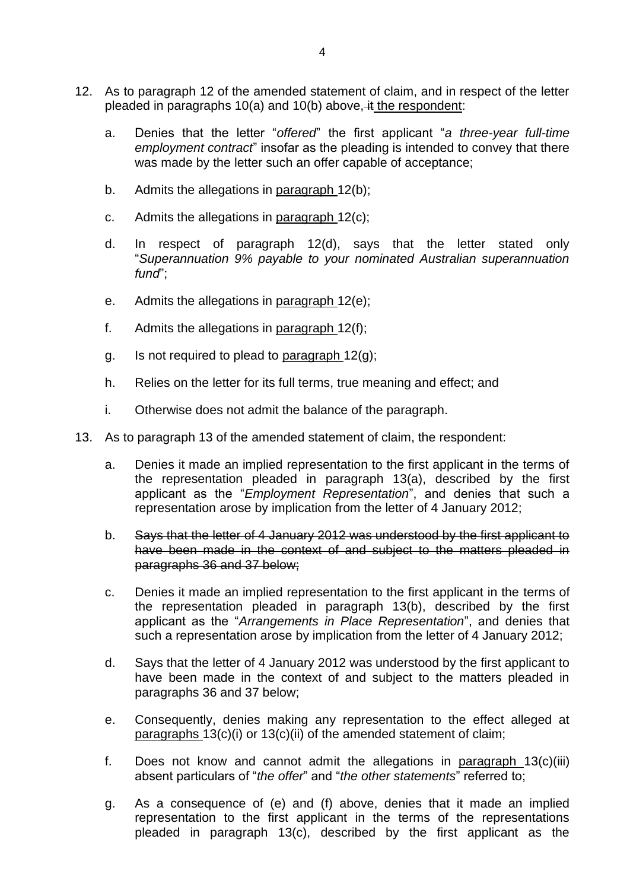- 12. As to paragraph 12 of the amended statement of claim, and in respect of the letter pleaded in paragraphs 10(a) and 10(b) above, it the respondent:
	- a. Denies that the letter "*offered*" the first applicant "*a three-year full-time employment contract*" insofar as the pleading is intended to convey that there was made by the letter such an offer capable of acceptance;
	- b. Admits the allegations in paragraph 12(b);
	- c. Admits the allegations in paragraph 12(c);
	- d. In respect of paragraph 12(d), says that the letter stated only "*Superannuation 9% payable to your nominated Australian superannuation fund*";
	- e. Admits the allegations in paragraph 12(e);
	- f. Admits the allegations in paragraph  $12(f)$ ;
	- g. Is not required to plead to paragraph  $12(g)$ ;
	- h. Relies on the letter for its full terms, true meaning and effect; and
	- i. Otherwise does not admit the balance of the paragraph.
- <span id="page-4-1"></span><span id="page-4-0"></span>13. As to paragraph 13 of the amended statement of claim, the respondent:
	- a. Denies it made an implied representation to the first applicant in the terms of the representation pleaded in paragraph 13(a), described by the first applicant as the "*Employment Representation*", and denies that such a representation arose by implication from the letter of 4 January 2012;
	- b. Says that the letter of 4 January 2012 was understood by the first applicant to have been made in the context of and subject to the matters pleaded in paragraphs [36](#page-8-0) and [37](#page-9-0) below;
	- c. Denies it made an implied representation to the first applicant in the terms of the representation pleaded in paragraph 13(b), described by the first applicant as the "*Arrangements in Place Representation*", and denies that such a representation arose by implication from the letter of 4 January 2012;
	- d. Says that the letter of 4 January 2012 was understood by the first applicant to have been made in the context of and subject to the matters pleaded in paragraphs [36](#page-8-0) and [37](#page-9-0) below;
	- e. Consequently, denies making any representation to the effect alleged at paragraphs 13(c)(i) or 13(c)(ii) of the amended statement of claim;
	- f. Does not know and cannot admit the allegations in paragraph 13(c)(iii) absent particulars of "*the offer*" and "*the other statements*" referred to;
	- g. As a consequence of [\(e\)](#page-4-0) and [\(f\)](#page-4-1) above, denies that it made an implied representation to the first applicant in the terms of the representations pleaded in paragraph 13(c), described by the first applicant as the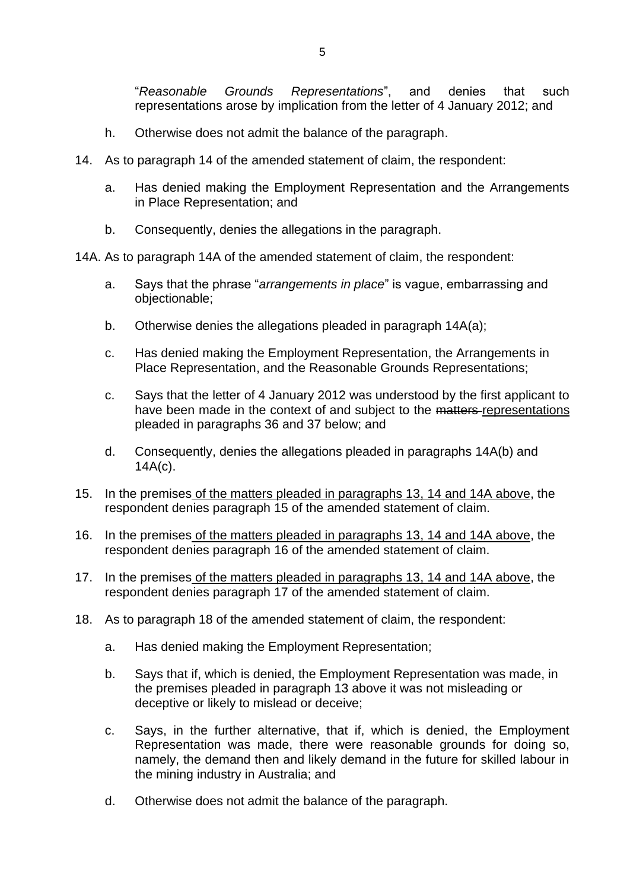"*Reasonable Grounds Representations*", and denies that such representations arose by implication from the letter of 4 January 2012; and

- h. Otherwise does not admit the balance of the paragraph.
- 14. As to paragraph 14 of the amended statement of claim, the respondent:
	- a. Has denied making the Employment Representation and the Arrangements in Place Representation; and
	- b. Consequently, denies the allegations in the paragraph.

14A. As to paragraph 14A of the amended statement of claim, the respondent:

- a. Says that the phrase "*arrangements in place*" is vague, embarrassing and objectionable;
- b. Otherwise denies the allegations pleaded in paragraph 14A(a);
- c. Has denied making the Employment Representation, the Arrangements in Place Representation, and the Reasonable Grounds Representations;
- c. Says that the letter of 4 January 2012 was understood by the first applicant to have been made in the context of and subject to the matters representations pleaded in paragraphs [36](#page-8-0) and [37](#page-9-0) below; and
- d. Consequently, denies the allegations pleaded in paragraphs 14A(b) and 14A(c).
- 15. In the premises of the matters pleaded in paragraphs 13, 14 and 14A above, the respondent denies paragraph 15 of the amended statement of claim.
- 16. In the premises of the matters pleaded in paragraphs 13, 14 and 14A above, the respondent denies paragraph 16 of the amended statement of claim.
- 17. In the premises of the matters pleaded in paragraphs 13, 14 and 14A above, the respondent denies paragraph 17 of the amended statement of claim.
- 18. As to paragraph 18 of the amended statement of claim, the respondent:
	- a. Has denied making the Employment Representation;
	- b. Says that if, which is denied, the Employment Representation was made, in the premises pleaded in paragraph 13 above it was not misleading or deceptive or likely to mislead or deceive;
	- c. Says, in the further alternative, that if, which is denied, the Employment Representation was made, there were reasonable grounds for doing so, namely, the demand then and likely demand in the future for skilled labour in the mining industry in Australia; and
	- d. Otherwise does not admit the balance of the paragraph.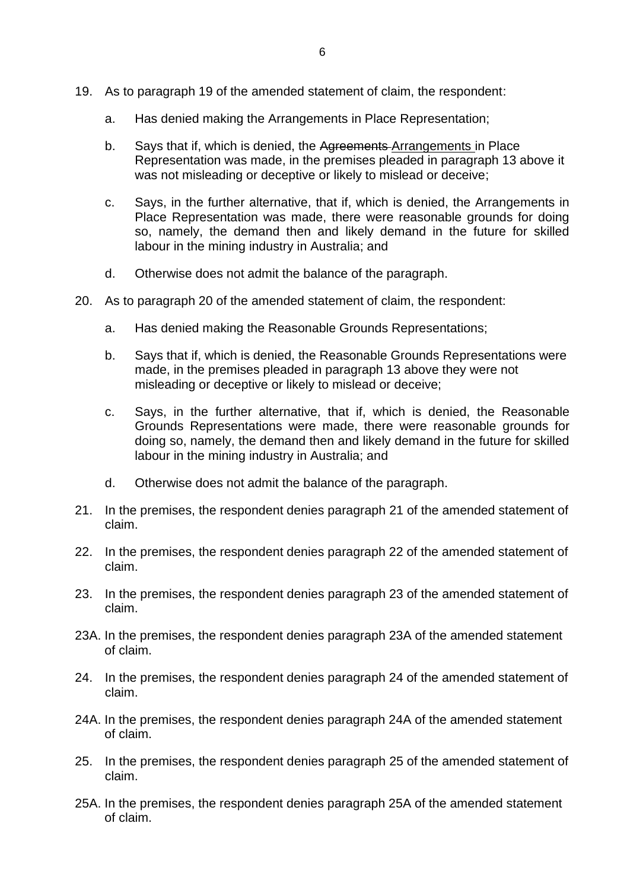- 19. As to paragraph 19 of the amended statement of claim, the respondent:
	- a. Has denied making the Arrangements in Place Representation;
	- b. Says that if, which is denied, the Agreements Arrangements in Place Representation was made, in the premises pleaded in paragraph 13 above it was not misleading or deceptive or likely to mislead or deceive;
	- c. Says, in the further alternative, that if, which is denied, the Arrangements in Place Representation was made, there were reasonable grounds for doing so, namely, the demand then and likely demand in the future for skilled labour in the mining industry in Australia; and
	- d. Otherwise does not admit the balance of the paragraph.
- 20. As to paragraph 20 of the amended statement of claim, the respondent:
	- a. Has denied making the Reasonable Grounds Representations;
	- b. Says that if, which is denied, the Reasonable Grounds Representations were made, in the premises pleaded in paragraph 13 above they were not misleading or deceptive or likely to mislead or deceive;
	- c. Says, in the further alternative, that if, which is denied, the Reasonable Grounds Representations were made, there were reasonable grounds for doing so, namely, the demand then and likely demand in the future for skilled labour in the mining industry in Australia; and
	- d. Otherwise does not admit the balance of the paragraph.
- 21. In the premises, the respondent denies paragraph 21 of the amended statement of claim.
- 22. In the premises, the respondent denies paragraph 22 of the amended statement of claim.
- 23. In the premises, the respondent denies paragraph 23 of the amended statement of claim.
- 23A. In the premises, the respondent denies paragraph 23A of the amended statement of claim.
- 24. In the premises, the respondent denies paragraph 24 of the amended statement of claim.
- 24A. In the premises, the respondent denies paragraph 24A of the amended statement of claim.
- 25. In the premises, the respondent denies paragraph 25 of the amended statement of claim.
- 25A. In the premises, the respondent denies paragraph 25A of the amended statement of claim.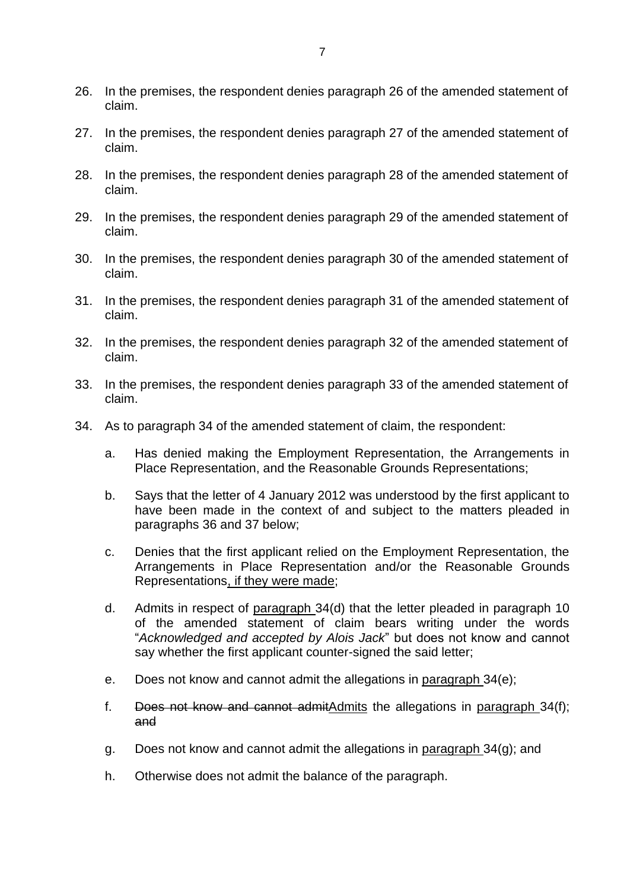- 26. In the premises, the respondent denies paragraph 26 of the amended statement of claim.
- 27. In the premises, the respondent denies paragraph 27 of the amended statement of claim.
- 28. In the premises, the respondent denies paragraph 28 of the amended statement of claim.
- 29. In the premises, the respondent denies paragraph 29 of the amended statement of claim.
- 30. In the premises, the respondent denies paragraph 30 of the amended statement of claim.
- 31. In the premises, the respondent denies paragraph 31 of the amended statement of claim.
- 32. In the premises, the respondent denies paragraph 32 of the amended statement of claim.
- 33. In the premises, the respondent denies paragraph 33 of the amended statement of claim.
- 34. As to paragraph 34 of the amended statement of claim, the respondent:
	- a. Has denied making the Employment Representation, the Arrangements in Place Representation, and the Reasonable Grounds Representations;
	- b. Says that the letter of 4 January 2012 was understood by the first applicant to have been made in the context of and subject to the matters pleaded in paragraphs [36](#page-8-0) and [37](#page-9-0) below;
	- c. Denies that the first applicant relied on the Employment Representation, the Arrangements in Place Representation and/or the Reasonable Grounds Representations, if they were made;
	- d. Admits in respect of paragraph 34(d) that the letter pleaded in paragraph 10 of the amended statement of claim bears writing under the words "*Acknowledged and accepted by Alois Jack*" but does not know and cannot say whether the first applicant counter-signed the said letter;
	- e. Does not know and cannot admit the allegations in paragraph 34(e);
	- f. Does not know and cannot admitAdmits the allegations in paragraph 34(f); and
	- g. Does not know and cannot admit the allegations in paragraph 34(g); and
	- h. Otherwise does not admit the balance of the paragraph.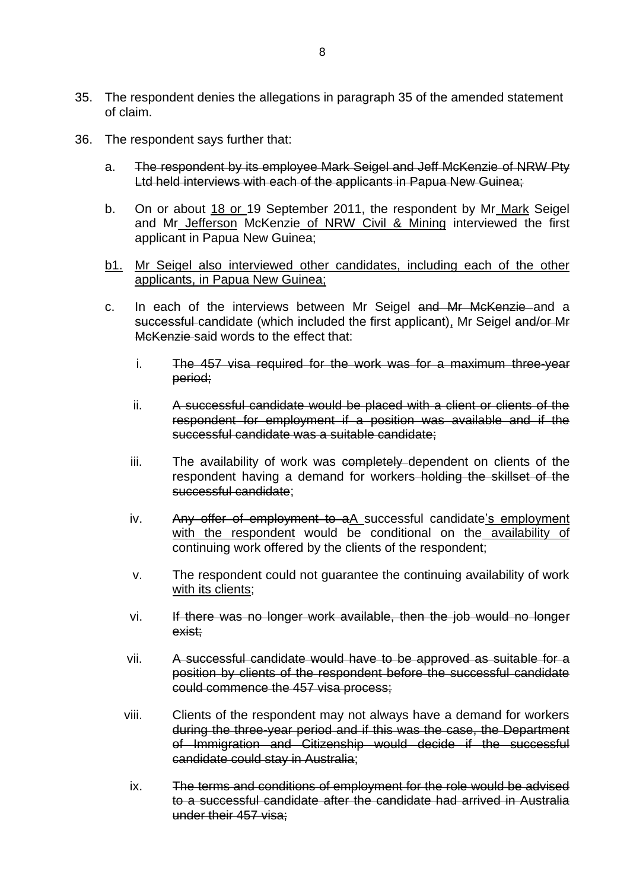- 35. The respondent denies the allegations in paragraph 35 of the amended statement of claim.
- <span id="page-8-0"></span>36. The respondent says further that:
	- a. The respondent by its employee Mark Seigel and Jeff McKenzie of NRW Pty Ltd held interviews with each of the applicants in Papua New Guinea;
	- b. On or about 18 or 19 September 2011, the respondent by Mr Mark Seigel and Mr Jefferson McKenzie of NRW Civil & Mining interviewed the first applicant in Papua New Guinea;
	- b1. Mr Seigel also interviewed other candidates, including each of the other applicants, in Papua New Guinea;
	- c. In each of the interviews between Mr Seigel and Mr McKenzie and a successful candidate (which included the first applicant), Mr Seigel and/or Mr McKenzie said words to the effect that:
		- i. The 457 visa required for the work was for a maximum three-year period;
		- ii. A successful candidate would be placed with a client or clients of the respondent for employment if a position was available and if the successful candidate was a suitable candidate;
		- iii. The availability of work was completely dependent on clients of the respondent having a demand for workers holding the skillset of the successful candidate;
		- iv. Any offer of employment to aA successful candidate's employment with the respondent would be conditional on the availability of continuing work offered by the clients of the respondent;
		- v. The respondent could not guarantee the continuing availability of work with its clients;
		- vi. If there was no longer work available, then the job would no longer exist;
		- vii. A successful candidate would have to be approved as suitable for a position by clients of the respondent before the successful candidate could commence the 457 visa process;
		- viii. Clients of the respondent may not always have a demand for workers during the three-year period and if this was the case, the Department of Immigration and Citizenship would decide if the successful candidate could stay in Australia;
		- ix. The terms and conditions of employment for the role would be advised to a successful candidate after the candidate had arrived in Australia under their 457 visa;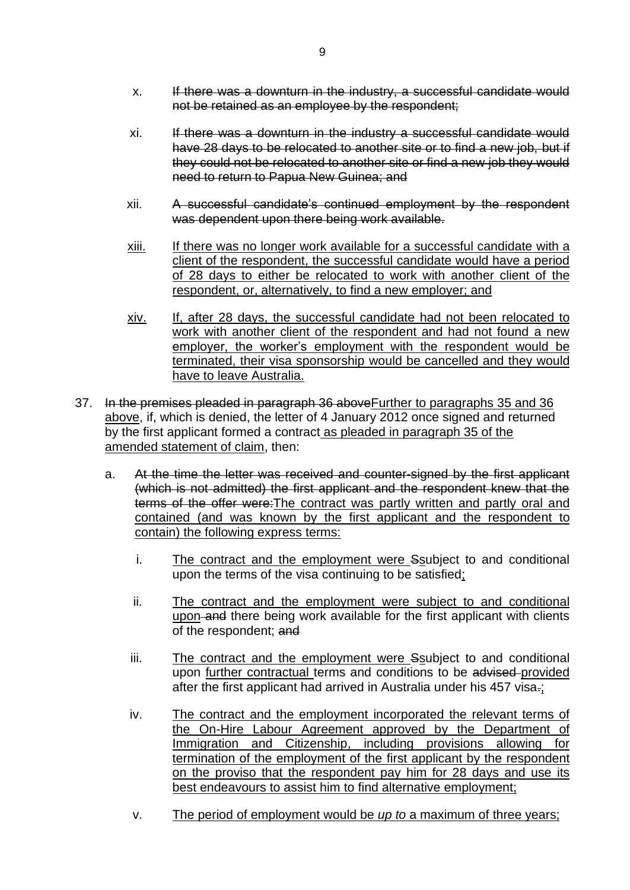- xi. If there was a downturn in the industry a successful candidate would have 28 days to be relocated to another site or to find a new job, but if they could not be relocated to another site or find a new job they would need to return to Papua New Guinea; and
- xii. A successful candidate's continued employment by the respondent was dependent upon there being work available.
- xiii. If there was no longer work available for a successful candidate with a client of the respondent, the successful candidate would have a period of 28 days to either be relocated to work with another client of the respondent, or, alternatively, to find a new employer; and
- xiv. If, after 28 days, the successful candidate had not been relocated to work with another client of the respondent and had not found a new employer, the worker's employment with the respondent would be terminated, their visa sponsorship would be cancelled and they would have to leave Australia.
- <span id="page-9-0"></span>37. In the premises pleaded in paragraph [36](#page-8-0) aboveFurther to paragraphs 35 and 36 above, if, which is denied, the letter of 4 January 2012 once signed and returned by the first applicant formed a contract as pleaded in paragraph 35 of the amended statement of claim, then:
	- a. At the time the letter was received and counter-signed by the first applicant (which is not admitted) the first applicant and the respondent knew that the terms of the offer were:The contract was partly written and partly oral and contained (and was known by the first applicant and the respondent to contain) the following express terms:
		- i. The contract and the employment were Ssubject to and conditional upon the terms of the visa continuing to be satisfied;
		- ii. The contract and the employment were subject to and conditional upon and there being work available for the first applicant with clients of the respondent; and
		- iii. The contract and the employment were Ssubject to and conditional upon further contractual terms and conditions to be advised provided after the first applicant had arrived in Australia under his 457 visa.;
		- iv. The contract and the employment incorporated the relevant terms of the On-Hire Labour Agreement approved by the Department of Immigration and Citizenship, including provisions allowing for termination of the employment of the first applicant by the respondent on the proviso that the respondent pay him for 28 days and use its best endeavours to assist him to find alternative employment;
		- v. The period of employment would be *up to* a maximum of three years;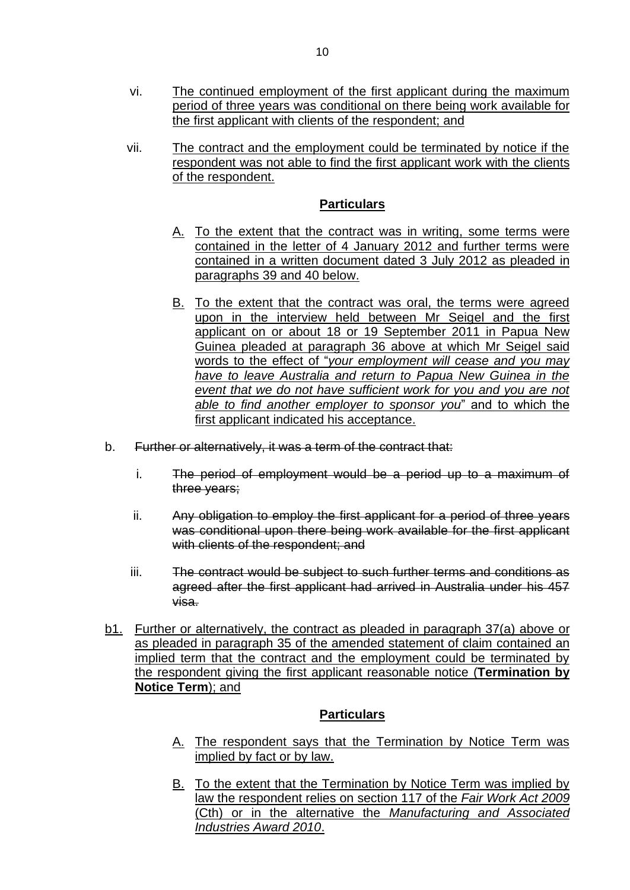- vi. The continued employment of the first applicant during the maximum period of three years was conditional on there being work available for the first applicant with clients of the respondent; and
- vii. The contract and the employment could be terminated by notice if the respondent was not able to find the first applicant work with the clients of the respondent.

## **Particulars**

- A. To the extent that the contract was in writing, some terms were contained in the letter of 4 January 2012 and further terms were contained in a written document dated 3 July 2012 as pleaded in paragraphs [39](#page-11-0) and [40](#page-12-0) below.
- B. To the extent that the contract was oral, the terms were agreed upon in the interview held between Mr Seigel and the first applicant on or about 18 or 19 September 2011 in Papua New Guinea pleaded at paragraph 36 above at which Mr Seigel said words to the effect of "*your employment will cease and you may have to leave Australia and return to Papua New Guinea in the event that we do not have sufficient work for you and you are not able to find another employer to sponsor you*" and to which the first applicant indicated his acceptance.
- b. Further or alternatively, it was a term of the contract that:
	- i. The period of employment would be a period up to a maximum of three years;
	- ii. Any obligation to employ the first applicant for a period of three years was conditional upon there being work available for the first applicant with clients of the respondent; and
	- iii. The contract would be subject to such further terms and conditions as agreed after the first applicant had arrived in Australia under his 457 visa.
- b1. Further or alternatively, the contract as pleaded in paragraph 37(a) above or as pleaded in paragraph 35 of the amended statement of claim contained an implied term that the contract and the employment could be terminated by the respondent giving the first applicant reasonable notice (**Termination by Notice Term**); and

## **Particulars**

- A. The respondent says that the Termination by Notice Term was implied by fact or by law.
- B. To the extent that the Termination by Notice Term was implied by law the respondent relies on section 117 of the *Fair Work Act 2009* (Cth) or in the alternative the *Manufacturing and Associated Industries Award 2010*.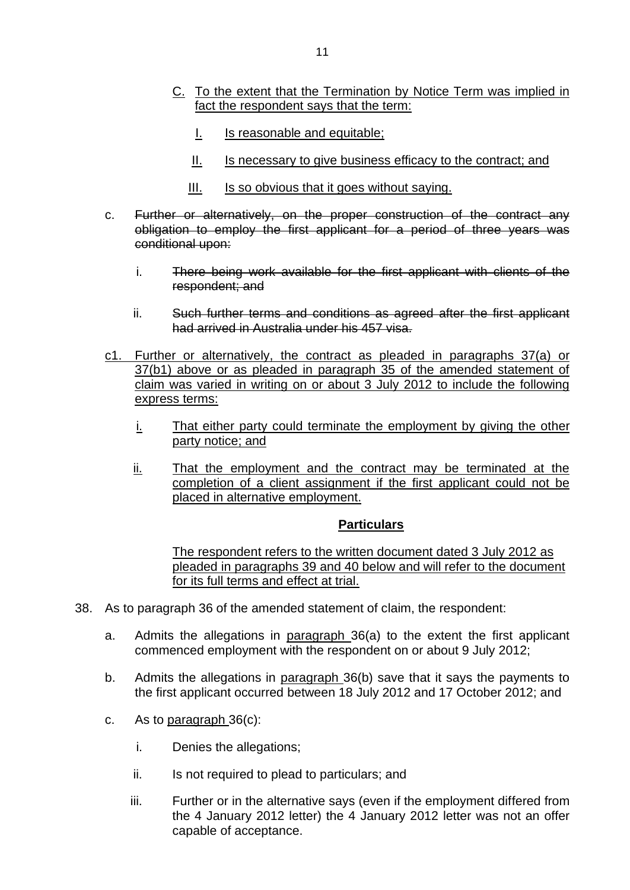- C. To the extent that the Termination by Notice Term was implied in fact the respondent says that the term:
	- I. Is reasonable and equitable;
	- II. Is necessary to give business efficacy to the contract; and
	- III. Is so obvious that it goes without saying.
- c. Further or alternatively, on the proper construction of the contract any obligation to employ the first applicant for a period of three years was conditional upon:
	- i. There being work available for the first applicant with clients of the respondent; and
	- ii. Such further terms and conditions as agreed after the first applicant had arrived in Australia under his 457 visa.
- c1. Further or alternatively, the contract as pleaded in paragraphs 37(a) or 37(b1) above or as pleaded in paragraph 35 of the amended statement of claim was varied in writing on or about 3 July 2012 to include the following express terms:
	- i. That either party could terminate the employment by giving the other party notice; and
	- ii. That the employment and the contract may be terminated at the completion of a client assignment if the first applicant could not be placed in alternative employment.

## **Particulars**

The respondent refers to the written document dated 3 July 2012 as pleaded in paragraphs [39](#page-11-0) and [40](#page-12-0) below and will refer to the document for its full terms and effect at trial.

- <span id="page-11-0"></span>38. As to paragraph 36 of the amended statement of claim, the respondent:
	- a. Admits the allegations in paragraph 36(a) to the extent the first applicant commenced employment with the respondent on or about 9 July 2012;
	- b. Admits the allegations in paragraph 36(b) save that it says the payments to the first applicant occurred between 18 July 2012 and 17 October 2012; and
	- c. As to paragraph 36(c):
		- i. Denies the allegations;
		- ii. Is not required to plead to particulars; and
		- iii. Further or in the alternative says (even if the employment differed from the 4 January 2012 letter) the 4 January 2012 letter was not an offer capable of acceptance.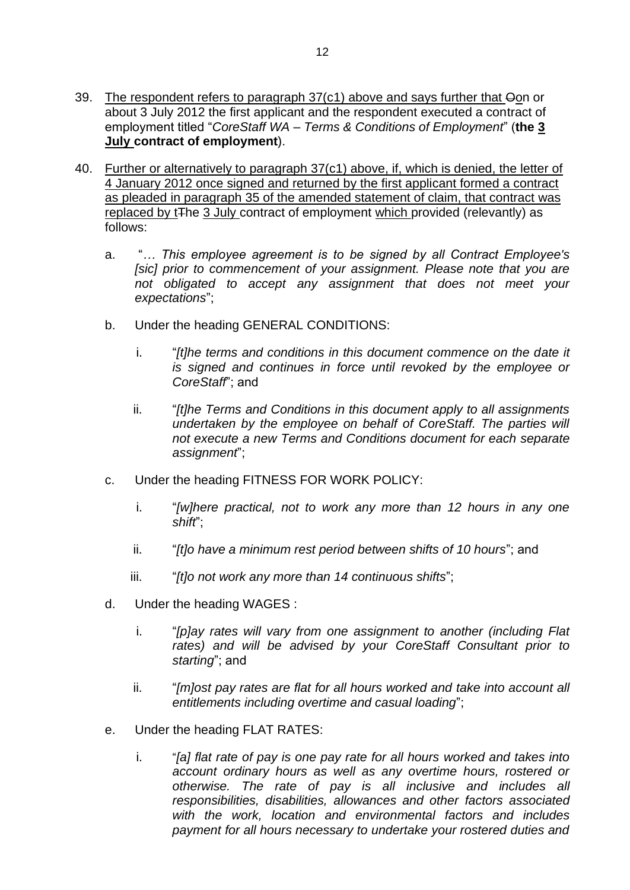- 39. The respondent refers to paragraph 37(c1) above and says further that Oon or about 3 July 2012 the first applicant and the respondent executed a contract of employment titled "*CoreStaff WA – Terms & Conditions of Employment*" (**the 3 July contract of employment**).
- <span id="page-12-0"></span>40. Further or alternatively to paragraph 37(c1) above, if, which is denied, the letter of 4 January 2012 once signed and returned by the first applicant formed a contract as pleaded in paragraph 35 of the amended statement of claim, that contract was replaced by t<sub>The 3</sub> July contract of employment which provided (relevantly) as follows:
	- a. "*… This employee agreement is to be signed by all Contract Employee's [sic] prior to commencement of your assignment. Please note that you are not obligated to accept any assignment that does not meet your expectations*";
	- b. Under the heading GENERAL CONDITIONS:
		- i. "*[t]he terms and conditions in this document commence on the date it is signed and continues in force until revoked by the employee or CoreStaff*"; and
		- ii. "*[t]he Terms and Conditions in this document apply to all assignments undertaken by the employee on behalf of CoreStaff. The parties will not execute a new Terms and Conditions document for each separate assignment*";
	- c. Under the heading FITNESS FOR WORK POLICY:
		- i. "*[w]here practical, not to work any more than 12 hours in any one shift*";
		- ii. "*[t]o have a minimum rest period between shifts of 10 hours*"; and
		- iii. "*[t]o not work any more than 14 continuous shifts*";
	- d. Under the heading WAGES :
		- i. "*[p]ay rates will vary from one assignment to another (including Flat rates) and will be advised by your CoreStaff Consultant prior to starting*"; and
		- ii. "*[m]ost pay rates are flat for all hours worked and take into account all entitlements including overtime and casual loading*";
	- e. Under the heading FLAT RATES:
		- i. "*[a] flat rate of pay is one pay rate for all hours worked and takes into account ordinary hours as well as any overtime hours, rostered or otherwise. The rate of pay is all inclusive and includes all responsibilities, disabilities, allowances and other factors associated with the work, location and environmental factors and includes payment for all hours necessary to undertake your rostered duties and*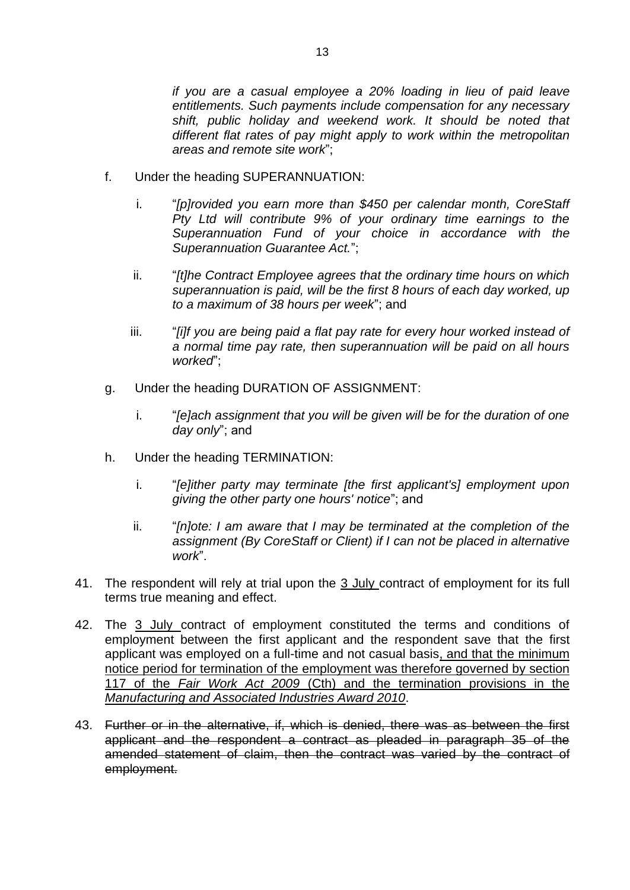*if you are a casual employee a 20% loading in lieu of paid leave entitlements. Such payments include compensation for any necessary shift, public holiday and weekend work. It should be noted that different flat rates of pay might apply to work within the metropolitan areas and remote site work*";

- f. Under the heading SUPERANNUATION:
	- i. "*[p]rovided you earn more than \$450 per calendar month, CoreStaff Pty Ltd will contribute 9% of your ordinary time earnings to the Superannuation Fund of your choice in accordance with the Superannuation Guarantee Act.*";
	- ii. "*[t]he Contract Employee agrees that the ordinary time hours on which superannuation is paid, will be the first 8 hours of each day worked, up to a maximum of 38 hours per week*"; and
	- iii. "*[i]f you are being paid a flat pay rate for every hour worked instead of a normal time pay rate, then superannuation will be paid on all hours worked*";
- g. Under the heading DURATION OF ASSIGNMENT:
	- i. "*[e]ach assignment that you will be given will be for the duration of one day only*"; and
- h. Under the heading TERMINATION:
	- i. "*[e]ither party may terminate [the first applicant's] employment upon giving the other party one hours' notice*"; and
	- ii. "*[n]ote: I am aware that I may be terminated at the completion of the assignment (By CoreStaff or Client) if I can not be placed in alternative work*".
- 41. The respondent will rely at trial upon the 3 July contract of employment for its full terms true meaning and effect.
- 42. The 3 July contract of employment constituted the terms and conditions of employment between the first applicant and the respondent save that the first applicant was employed on a full-time and not casual basis, and that the minimum notice period for termination of the employment was therefore governed by section 117 of the *Fair Work Act 2009* (Cth) and the termination provisions in the *Manufacturing and Associated Industries Award 2010*.
- 43. Further or in the alternative, if, which is denied, there was as between the first applicant and the respondent a contract as pleaded in paragraph 35 of the amended statement of claim, then the contract was varied by the contract of employment.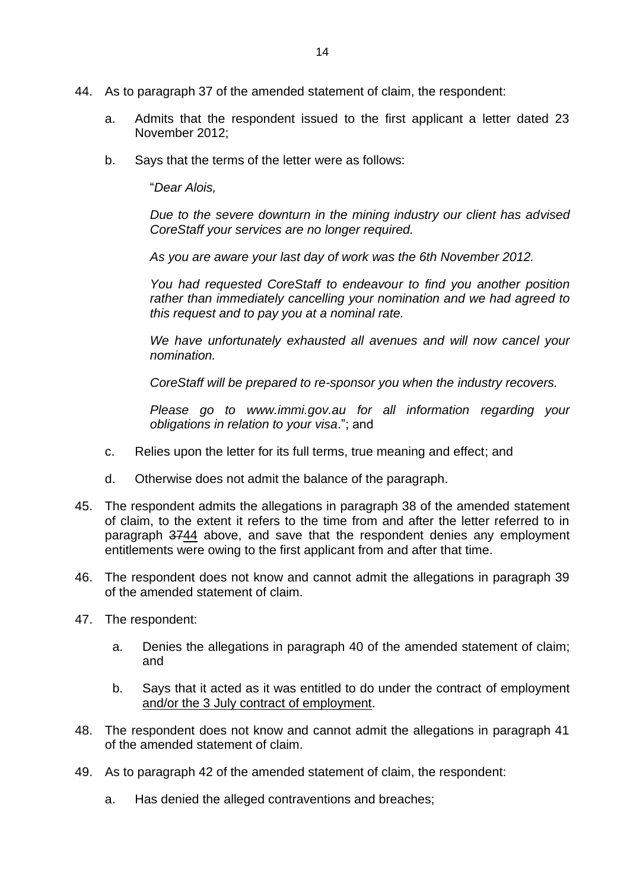- 44. As to paragraph 37 of the amended statement of claim, the respondent:
	- a. Admits that the respondent issued to the first applicant a letter dated 23 November 2012;
	- b. Says that the terms of the letter were as follows:

"*Dear Alois,*

*Due to the severe downturn in the mining industry our client has advised CoreStaff your services are no longer required.*

*As you are aware your last day of work was the 6th November 2012.*

*You had requested CoreStaff to endeavour to find you another position rather than immediately cancelling your nomination and we had agreed to this request and to pay you at a nominal rate.*

*We have unfortunately exhausted all avenues and will now cancel your nomination.*

*CoreStaff will be prepared to re-sponsor you when the industry recovers.*

*Please go to www.immi.gov.au for all information regarding your obligations in relation to your visa*."; and

- c. Relies upon the letter for its full terms, true meaning and effect; and
- d. Otherwise does not admit the balance of the paragraph.
- 45. The respondent admits the allegations in paragraph 38 of the amended statement of claim, to the extent it refers to the time from and after the letter referred to in paragraph 3744 above, and save that the respondent denies any employment entitlements were owing to the first applicant from and after that time.
- 46. The respondent does not know and cannot admit the allegations in paragraph 39 of the amended statement of claim.
- 47. The respondent:
	- a. Denies the allegations in paragraph 40 of the amended statement of claim; and
	- b. Says that it acted as it was entitled to do under the contract of employment and/or the 3 July contract of employment.
- 48. The respondent does not know and cannot admit the allegations in paragraph 41 of the amended statement of claim.
- 49. As to paragraph 42 of the amended statement of claim, the respondent:
	- a. Has denied the alleged contraventions and breaches;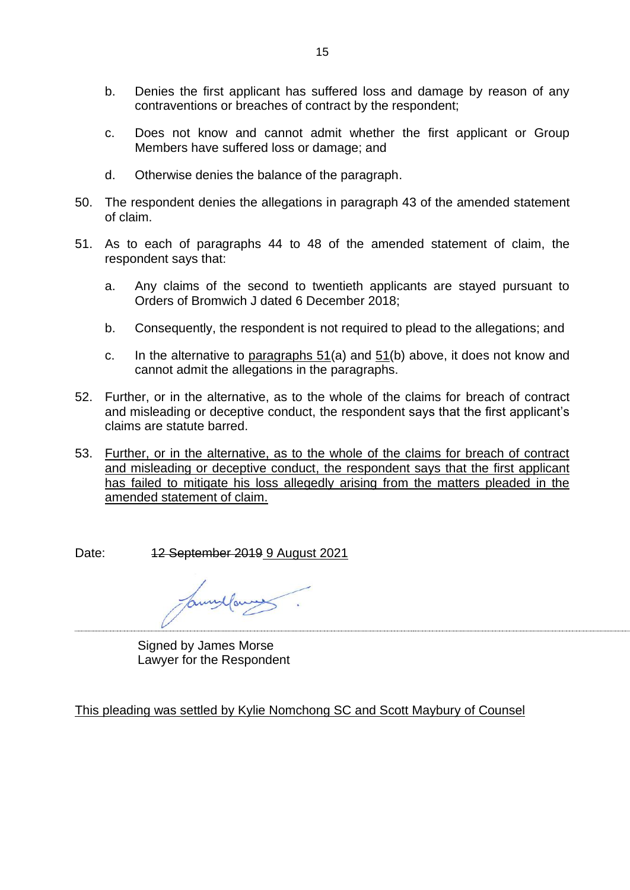- b. Denies the first applicant has suffered loss and damage by reason of any contraventions or breaches of contract by the respondent;
- c. Does not know and cannot admit whether the first applicant or Group Members have suffered loss or damage; and
- d. Otherwise denies the balance of the paragraph.
- 50. The respondent denies the allegations in paragraph 43 of the amended statement of claim.
- 51. As to each of paragraphs 44 to 48 of the amended statement of claim, the respondent says that:
	- a. Any claims of the second to twentieth applicants are stayed pursuant to Orders of Bromwich J dated 6 December 2018;
	- b. Consequently, the respondent is not required to plead to the allegations; and
	- c. In the alternative to paragraphs  $51(a)$  and  $51(b)$  above, it does not know and cannot admit the allegations in the paragraphs.
- 52. Further, or in the alternative, as to the whole of the claims for breach of contract and misleading or deceptive conduct, the respondent says that the first applicant's claims are statute barred.
- 53. Further, or in the alternative, as to the whole of the claims for breach of contract and misleading or deceptive conduct, the respondent says that the first applicant has failed to mitigate his loss allegedly arising from the matters pleaded in the amended statement of claim.

Date: 12 September 2019 9 August 2021

annyfar

Signed by James Morse Lawyer for the Respondent

This pleading was settled by Kylie Nomchong SC and Scott Maybury of Counsel